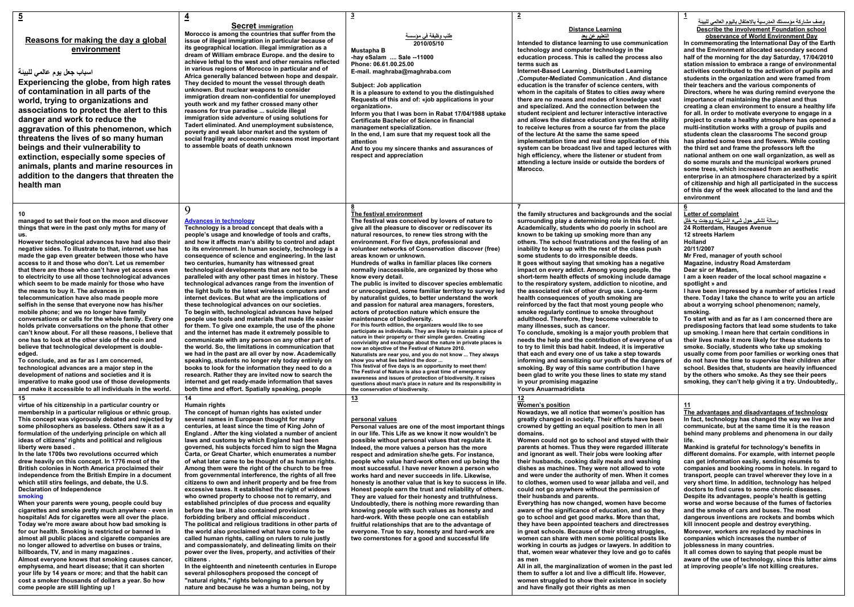|                                                                                                                                                                                                                                                                                                                                                                                                                                                                                                                                                                                                                                                                                                                                                                                                                                                                                                                                                                                                                                                                                                                                                                                                                                                                                                                                                                                                             |                                                                                                                                                                                                                                                                                                                                                                                                                                                                                                                                                                                                                                                                                                                                                                                                                                                                                                                                                                                                                                                                                                                                                                                                                                                                                                                                                                                                                      | 3                                                                                                                                                                                                                                                                                                                                                                                                                                                                                                                                                                                                                                                                                                                                                                                                                                                                                                                                                                                                                                                                                                                                                                                                                                                                                                                                                                                                                                                                                                     |                                                                                                                                                                                                                                                                                                                                                                                                                                                                                                                                                                                                                                                                                                                                                                                                                                                                                                                                                                                                                                                                                                                                                                                                                                                                                                                                                                         |                                                                                                                                                                                                                                                                                                                                                                                                                                                                                                                                                                                                                                                                                                                                                                                                                                                                                                                                                                                                                                                                                                                                                                                                                                                                                                                                                                                                |
|-------------------------------------------------------------------------------------------------------------------------------------------------------------------------------------------------------------------------------------------------------------------------------------------------------------------------------------------------------------------------------------------------------------------------------------------------------------------------------------------------------------------------------------------------------------------------------------------------------------------------------------------------------------------------------------------------------------------------------------------------------------------------------------------------------------------------------------------------------------------------------------------------------------------------------------------------------------------------------------------------------------------------------------------------------------------------------------------------------------------------------------------------------------------------------------------------------------------------------------------------------------------------------------------------------------------------------------------------------------------------------------------------------------|----------------------------------------------------------------------------------------------------------------------------------------------------------------------------------------------------------------------------------------------------------------------------------------------------------------------------------------------------------------------------------------------------------------------------------------------------------------------------------------------------------------------------------------------------------------------------------------------------------------------------------------------------------------------------------------------------------------------------------------------------------------------------------------------------------------------------------------------------------------------------------------------------------------------------------------------------------------------------------------------------------------------------------------------------------------------------------------------------------------------------------------------------------------------------------------------------------------------------------------------------------------------------------------------------------------------------------------------------------------------------------------------------------------------|-------------------------------------------------------------------------------------------------------------------------------------------------------------------------------------------------------------------------------------------------------------------------------------------------------------------------------------------------------------------------------------------------------------------------------------------------------------------------------------------------------------------------------------------------------------------------------------------------------------------------------------------------------------------------------------------------------------------------------------------------------------------------------------------------------------------------------------------------------------------------------------------------------------------------------------------------------------------------------------------------------------------------------------------------------------------------------------------------------------------------------------------------------------------------------------------------------------------------------------------------------------------------------------------------------------------------------------------------------------------------------------------------------------------------------------------------------------------------------------------------------|-------------------------------------------------------------------------------------------------------------------------------------------------------------------------------------------------------------------------------------------------------------------------------------------------------------------------------------------------------------------------------------------------------------------------------------------------------------------------------------------------------------------------------------------------------------------------------------------------------------------------------------------------------------------------------------------------------------------------------------------------------------------------------------------------------------------------------------------------------------------------------------------------------------------------------------------------------------------------------------------------------------------------------------------------------------------------------------------------------------------------------------------------------------------------------------------------------------------------------------------------------------------------------------------------------------------------------------------------------------------------|------------------------------------------------------------------------------------------------------------------------------------------------------------------------------------------------------------------------------------------------------------------------------------------------------------------------------------------------------------------------------------------------------------------------------------------------------------------------------------------------------------------------------------------------------------------------------------------------------------------------------------------------------------------------------------------------------------------------------------------------------------------------------------------------------------------------------------------------------------------------------------------------------------------------------------------------------------------------------------------------------------------------------------------------------------------------------------------------------------------------------------------------------------------------------------------------------------------------------------------------------------------------------------------------------------------------------------------------------------------------------------------------|
| Reasons for making the day a global<br>environment<br>اسباب جعل يوم عالمي للبينة<br>Experiencing the globe, from high rates<br>of contamination in all parts of the<br>world, trying to organizations and<br>associations to protect the alert to this<br>danger and work to reduce the<br>aggravation of this phenomenon, which<br>threatens the lives of so many human<br>beings and their vulnerability to<br>extinction, especially some species of<br>animals, plants and marine resources in<br>addition to the dangers that threaten the<br>health man                                                                                                                                                                                                                                                                                                                                                                                                                                                                                                                                                                                                                                                                                                                                                                                                                                               | <b>Secret immigration</b><br>Morocco is among the countries that suffer from the<br>issue of illegal immigration in particular because of<br>its geographical location, illegal immigration as a<br>dream of William embrace Europe. and the desire to<br>achieve lethal to the west and other remains reflected<br>in various regions of Morocco in particular and of<br>Africa generally balanced between hope and despair.<br>They decided to mount the vessel through death<br>unknown. But nuclear weapons to consider<br>immigration dream non-confidential for unemployed<br>youth work and my father crossed many other<br>reasons for true paradise  suicide illegal<br>immigration side adventure of using solutions for<br>Tadert eliminated. And unemployment subsistence,<br>poverty and weak labor market and the system of<br>social fragility and economic reasons most important<br>to assemble boats of death unknown                                                                                                                                                                                                                                                                                                                                                                                                                                                                              | <u>طلب وظيفة فى مؤسسة </u><br>2010/05/10<br>Mustapha B<br>-hay eSalam  Sale -- 11000<br>Phone: 06.61.00.25.00<br>E-mail. maghraba@maghraba.com<br>Subject: Job application<br>It is a pleasure to extend to you the distinguished<br>Requests of this and of: «job applications in your<br>organization».<br>Inform you that I was born in Rabat 17/04/1988 uptake<br>Certificate Bachelor of Science in financial<br>management specialization.<br>In the end, I am sure that my request took all the<br>attention<br>And to you my sincere thanks and assurances of<br>respect and appreciation                                                                                                                                                                                                                                                                                                                                                                                                                                                                                                                                                                                                                                                                                                                                                                                                                                                                                                     | <b>Distance Learning</b><br>التطيع ع <u>ن بعد</u><br>Intended to distance learning to use communication<br>technology and computer technology in the<br>education process. This is called the process also<br>terms such as<br>Internet-Based Learning, Distributed Learning<br>Computer-Mediated Communication . And distance<br>education is the transfer of science centers, with<br>whom in the capitals of States to cities away where<br>there are no means and modes of knowledge vast<br>and specialized. And the connection between the<br>student recipient and lecturer interactive interactive<br>and allows the distance education system the ability<br>to receive lectures from a source far from the place<br>of the lecture At the same the same speed<br>implementation time and real time application of this<br>system can be broadcast live and taped lectures with<br>high efficiency, where the listener or student from<br>attending a lecture inside or outside the borders of<br>Marocco.                                                                                                                                                                                                                                                                                                                                                     | وصف مشاركة مؤسستك المدرسية بالاحتفال باليوم العالمي للبينة<br>Describe the involvement Foundation school<br>observance of World Environment Day<br>In commemorating the International Day of the Earth<br>and the Environment allocated secondary second<br>half of the morning for the day Saturday, 17/04/2010<br>station mission to embrace a range of environmental<br>activities contributed to the activation of pupils and<br>students in the organization and were framed from<br>their teachers and the various components of<br>Directors, where he was during remind everyone the<br>importance of maintaining the planet and thus<br>creating a clean environment to ensure a healthy life<br>for all. In order to motivate everyone to engage in a<br>project to create a healthy atmosphere has opened a<br>multi-institution works with a group of pupils and<br>students clean the classrooms The second group<br>has planted some trees and flowers. While costing<br>the third set and frame the professors left the<br>national anthem on one wall organization, as well as<br>do some murals and the municipal workers pruned<br>some trees, which increased from an aesthetic<br>enterprise in an atmosphere characterized by a spirit<br>of citizenship and high all participated in the success<br>of this day of the week allocated to the land and the<br>environment |
| 10<br>managed to set their foot on the moon and discover<br>things that were in the past only myths for many of<br><b>US</b><br>However technological advances have had also their<br>negative sides. To illustrate to that, internet use has<br>made the gap even greater between those who have<br>access to it and those who don't. Let us remember<br>that there are those who can't have yet access even<br>to electricity to use all those technological advances<br>which seem to be made mainly for those who have<br>the means to buy it. The advances in<br>telecommunication have also made people more<br>selfish in the sense that everyone now has his/her<br>mobile phone; and we no longer have family<br>conversations or calls for the whole family. Every one<br>holds private conversations on the phone that other<br>can't know about. For all these reasons, I believe that<br>one has to look at the other side of the coin and<br>believe that technological development is double-<br>edged.<br>To conclude, and as far as I am concerned,<br>technological advances are a major step in the<br>development of nations and societies and it is<br>imperative to make good use of those developments<br>and make it accessible to all individuals in the world.                                                                                                                    | 9<br><b>Advances in technology</b><br>Technology is a broad concept that deals with a<br>people's usage and knowledge of tools and crafts,<br>and how it affects man's ability to control and adapt<br>to its environment. In human society, technology is a<br>consequence of science and engineering. In the last<br>two centuries, humanity has witnessed great<br>technological developments that are not to be<br>paralleled with any other past times in history. These<br>technological advances range from the invention of<br>the light bulb to the latest wireless computers and<br>internet devices. But what are the implications of<br>these technological advances on our societies.<br>To begin with, technological advances have helped<br>people use tools and materials that made life easier<br>for them. To give one example, the use of the phone<br>and the internet has made it extremely possible to<br>communicate with any person on any other part of<br>the world. So, the limitations in communication that<br>we had in the past are all over by now. Academically<br>speaking, students no longer rely today entirely on<br>books to look for the information they need to do a<br>research. Rather they are invited now to search the<br>internet and get ready-made information that saves<br>both time and effort. Spatially speaking, people                                      | The festival environment<br>The festival was conceived by lovers of nature to<br>give all the pleasure to discover or rediscover its<br>natural resources, to renew ties strong with the<br>environment. For five days, professional and<br>volunteer networks of Conservation discover (free)<br>areas known or unknown.<br>Hundreds of walks in familiar places like corners<br>normally inaccessible, are organized by those who<br>know every detail.<br>The public is invited to discover species emblematic<br>or unrecognized, some familiar territory to survey led<br>by naturalist guides, to better understand the work<br>and passion for natural area managers, foresters,<br>actors of protection nature which ensure the<br>maintenance of biodiversity.<br>For this fourth edition, the organizers would like to see<br>participate as individuals. They are likely to maintain a piece of<br>nature in their property or their simple garden. Creating<br>conviviality and exchange about the nature in private places is<br>now an objective of the Festival of Nature 2010.<br>Naturalists are near you, and you do not know  They always<br>show you what lies behind the door<br>This festival of five days is an opportunity to meet them!<br>The Festival of Nature is also a great time of emergency<br>awareness and issues of protection of biodiversity. It raises<br>questions about man's place in nature and its responsibility in<br>the conservation of biodiversity. | the family structures and backgrounds and the social<br>surrounding play a determining role in this fact.<br>Academically, students who do poorly in school are<br>known to be taking up smoking more than any<br>others. The school frustrations and the feeling of an<br>inability to keep up with the rest of the class push<br>some students to do irresponsible deeds.<br>It goes without saying that smoking has a negative<br>impact on every addict. Among young people, the<br>short-term health effects of smoking include damage<br>to the respiratory system, addiction to nicotine, and<br>the associated risk of other drug use. Long-term<br>health consequences of youth smoking are<br>reinforced by the fact that most young people who<br>smoke regularly continue to smoke throughout<br>adulthood. Therefore, they become vulnerable to<br>many illnesses, such as cancer.<br>To conclude, smoking is a major youth problem that<br>needs the help and the contribution of everyone of us<br>to try to limit this bad habit. Indeed, it is imperative<br>that each and every one of us take a step towards<br>informing and sensitizing our youth of the dangers of<br>smoking. By way of this same contribution I have<br>been glad to write you these lines to state my stand<br>in your promising magazine<br>Yours Anuarmadridista             | <b>Letter of complaint</b><br>رسالة تشكي حول شيء اشتريته ووجدت به خلل<br>24 Rotterdam. Hauges Avenue<br>12 streets Harlem<br>Holland<br>20/11/2007<br>Mr Fred, manager of youth school<br>Magazine, industry Road Amsterdam<br>Dear sir or Madam,<br>I am a keen reader of the local school magazine «<br>spotlight » and<br>I have been impressed by a number of articles I read<br>there. Today I take the chance to write you an article<br>about a worrying school phenomenon; namely,<br>smoking.<br>To start with and as far as I am concerned there are<br>predisposing factors that lead some students to take<br>up smoking. I mean here that certain conditions in<br>their lives make it more likely for these students to<br>smoke. Socially, students who take up smoking<br>usually come from poor families or working ones that<br>do not have the time to supervise their children after<br>school. Besides that, students are heavily influenced<br>by the others who smoke. As they see their peers<br>smoking, they can't help giving it a try. Undoubtedly,.                                                                                                                                                                                                                                                                                                               |
| 15<br>virtue of his citizenship in a particular country or<br>membership in a particular religious or ethnic group.<br>This concept was vigorously debated and rejected by<br>some philosophers as baseless. Others saw it as a<br>formulation of the underlying principle on which all<br>ideas of citizens' rights and political and religious<br>liberty were based.<br>In the late 1700s two revolutions occurred which<br>drew heavily on this concept. In 1776 most of the<br><b>British colonies in North America proclaimed their</b><br>independence from the British Empire in a document<br>which still stirs feelings, and debate, the U.S.<br><b>Declaration of Independence</b><br>smoking<br>When your parents were young, people could buy<br>cigarettes and smoke pretty much anywhere - even in<br>hospitals! Ads for cigarettes were all over the place.<br>Today we're more aware about how bad smoking is<br>for our health. Smoking is restricted or banned in<br>almost all public places and cigarette companies are<br>no longer allowed to advertise on buses or trains,<br>billboards, TV, and in many magazines.<br>Almost everyone knows that smoking causes cancer,<br>emphysema, and heart disease; that it can shorten<br>your life by 14 years or more; and that the habit can<br>cost a smoker thousands of dollars a year. So how<br>come people are still lighting up ! | 14<br>Humain rights<br>The concept of human rights has existed under<br>several names in European thought for many<br>centuries, at least since the time of King John of<br>England . After the king violated a number of ancient<br>laws and customs by which England had been<br>governed, his subjects forced him to sign the Magna<br>Carta, or Great Charter, which enumerates a number<br>of what later came to be thought of as human rights.<br>Among them were the right of the church to be free<br>from governmental interference, the rights of all free<br>citizens to own and inherit property and be free from<br>excessive taxes. It established the right of widows<br>who owned property to choose not to remarry, and<br>established principles of due process and equality<br>before the law. It also contained provisions<br>forbidding bribery and official misconduct.<br>The political and religious traditions in other parts of<br>the world also proclaimed what have come to be<br>called human rights, calling on rulers to rule justly<br>and compassionately, and delineating limits on their<br>power over the lives, property, and activities of their<br>citizens.<br>In the eighteenth and nineteenth centuries in Europe<br>several philosophers proposed the concept of<br>"natural rights," rights belonging to a person by<br>nature and because he was a human being, not by | <u>13</u><br>personal values<br>Personal values are one of the most important things<br>in our life. This Life as we know it now wouldn't be<br>possible without personal values that regulate it.<br>Indeed, the more values a person has the more<br>respect and admiration she/he gets. For instance,<br>people who value hard-work often end up being the<br>most successful. I have never known a person who<br>works hard and never succeeds in life. Likewise,<br>honesty is another value that is key to success in life.<br>Honest people earn the trust and reliability of others.<br>They are valued for their honesty and truthfulness.<br>Undoubtedly, there is nothing more rewarding than<br>knowing people with such values as honesty and<br>hard-work. With these people one can establish<br>fruitful relationships that are to the advantage of<br>everyone. True to say, honesty and hard-work are<br>two cornerstones for a good and successful life                                                                                                                                                                                                                                                                                                                                                                                                                                                                                                                            | <b>Women's position</b><br>Nowadays, we all notice that women's position has<br>greatly changed in society. Their efforts have been<br>crowned by getting an equal position to men in all<br>domains.<br>Women could not go to school and stayed with their<br>parents at homes. Thus they were regarded illiterate<br>and ignorant as well. Their jobs were looking after<br>their husbands, cooking daily meals and washing<br>dishes as machines. They were not allowed to vote<br>and were under the authority of men. When it comes<br>to clothes, women used to wear jallaba and veil, and<br>could not go anywhere without the permission of<br>their husbands and parents.<br>Everything has now changed, women have become<br>aware of the significance of education, and so they<br>go to school and get good marks. More than that,<br>they have been appointed teachers and directresses<br>in great schools. Because of their strong struggles,<br>women can share with men some political posts like<br>working in courts as judges or lawyers. In addition to<br>that, women wear whatever they love and go to cafés<br>as men<br>All in all, the marginalization of women in the past led<br>them to suffer a lot and live a difficult life. However,<br>women struggled to show their existence in society<br>and have finally got their rights as men | The advantages and disadvantages of technology<br>In fact, technology has changed the way we live and<br>communicate, but at the same time it is the reason<br>behind many problems and phenomena in our daily<br>life.<br>Mankind is grateful for technology's benefits in<br>different domains. For example, with internet people<br>can get information easily, sending résumés to<br>companies and booking rooms in hotels. In regard to<br>transport, people can travel wherever they love in a<br>very short time. In addition, technology has helped<br>doctors to find cures to some chronic diseases.<br>Despite its advantages, people's health is getting<br>worse and worse because of the fumes of factories<br>and the smoke of cars and buses. The most<br>dangerous inventions are rockets and bombs which<br>kill innocent people and destroy everything.<br>Moreover, workers are replaced by machines in<br>companies which increases the number of<br>joblessness in many countries.<br>It all comes down to saying that people must be<br>aware of the use of technology, since this latter aims<br>at improving people's life not killing creatures.                                                                                                                                                                                                                     |